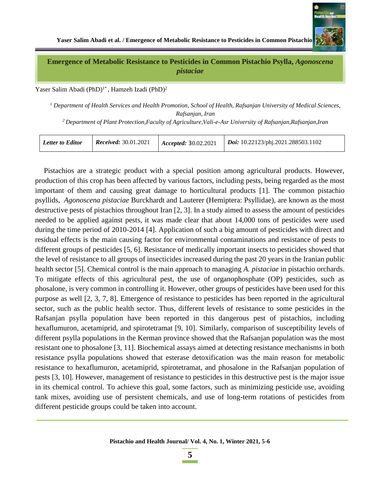

**Emergence of Metabolic Resistance to Pesticides in Common Pistachio Psylla,** *Agonoscena pistaciae*

Yaser Salim Abadi (PhD)<sup>1\*</sup>, Hamzeh Izadi (PhD)<sup>2</sup>

*<sup>1</sup> Department of Health Services and Health Promotion, School of Health, Rafsanjan University of Medical Sciences, Rafsanjan, Iran*

*<sup>2</sup>Department of Plant Protection,Faculty of Agriculture,Vali-e-Asr University of Rafsanjan,Rafsanjan,Iran*

| <b>Received:</b> 30.01.2021<br>Doi: 10.22123/phj.2021.288503.1102<br><b>Letter to Editor</b><br>Accepted: 30.02.2021 |  |  |  |  |  |
|----------------------------------------------------------------------------------------------------------------------|--|--|--|--|--|
|----------------------------------------------------------------------------------------------------------------------|--|--|--|--|--|

Pistachios are a strategic product with a special position among agricultural products. However, production of this crop has been affected by various factors, including pests, being regarded as the most important of them and causing great damage to horticultural products [1]. The common pistachio psyllids, *Agonoscena pistaciae* Burckhardt and Lauterer (Hemiptera: Psyllidae), are known as the most destructive pests of pistachios throughout Iran [2, 3]. In a study aimed to assess the amount of pesticides needed to be applied against pests, it was made clear that about 14,000 tons of pesticides were used during the time period of 2010-2014 [4]. Application of such a big amount of pesticides with direct and residual effects is the main causing factor for environmental contaminations and resistance of pests to different groups of pesticides [5, 6]. Resistance of medically important insects to pesticides showed that the level of resistance to all groups of insecticides increased during the past 20 years in the Iranian public health sector [5]. Chemical control is the main approach to managing *A. pistaciae* in pistachio orchards. To mitigate effects of this agricultural pest, the use of organophosphate (OP) pesticides, such as phosalone, is very common in controlling it. However, other groups of pesticides have been used for this purpose as well [2, 3, 7, 8]. Emergence of resistance to pesticides has been reported in the agricultural sector, such as the public health sector. Thus, different levels of resistance to some pesticides in the Rafsanjan psylla population have been reported in this dangerous pest of pistachios, including hexaflumuron, acetamiprid, and spirotetramat [9, 10]. Similarly, comparison of susceptibility levels of different psylla populations in the Kerman province showed that the Rafsanjan population was the most resistant one to phosalone [3, 11]. Biochemical assays aimed at detecting resistance mechanisms in both resistance psylla populations showed that esterase detoxification was the main reason for metabolic resistance to hexaflumuron, acetamiprid, spirotetramat, and phosalone in the Rafsanjan population of pests [3, 10]. However, management of resistance to pesticides in this destructive pest is the major issue in its chemical control. To achieve this goal, some factors, such as minimizing pesticide use, avoiding tank mixes, avoiding use of persistent chemicals, and use of long-term rotations of pesticides from different pesticide groups could be taken into account.